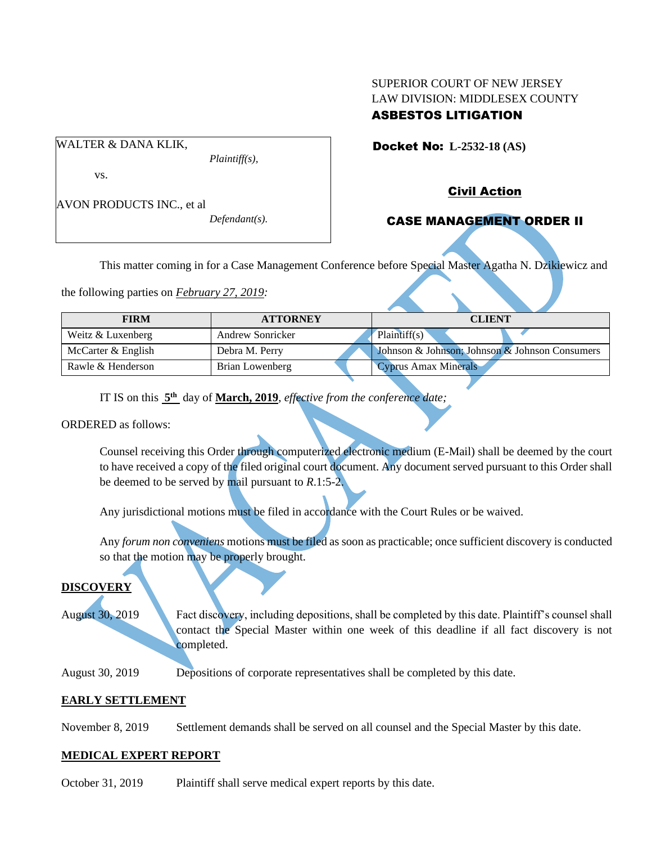# SUPERIOR COURT OF NEW JERSEY LAW DIVISION: MIDDLESEX COUNTY ASBESTOS LITIGATION

Docket No: **L-2532-18 (AS)** 

vs.

AVON PRODUCTS INC., et al

WALTER & DANA KLIK,

*Defendant(s).*

*Plaintiff(s),*

Civil Action

# CASE MANAGEMENT ORDER II

This matter coming in for a Case Management Conference before Special Master Agatha N. Dzikiewicz and

the following parties on *February 27, 2019:*

| <b>FIRM</b>        | <b>ATTORNEY</b>  | <b>CLIENT</b>                                  |
|--------------------|------------------|------------------------------------------------|
| Weitz & Luxenberg  | Andrew Sonricker | Plaintiff(s)                                   |
| McCarter & English | Debra M. Perry   | Johnson & Johnson; Johnson & Johnson Consumers |
| Rawle & Henderson  | Brian Lowenberg  | Cyprus Amax Minerals                           |

IT IS on this **5 th** day of **March, 2019**, *effective from the conference date;*

ORDERED as follows:

Counsel receiving this Order through computerized electronic medium (E-Mail) shall be deemed by the court to have received a copy of the filed original court document. Any document served pursuant to this Order shall be deemed to be served by mail pursuant to *R*.1:5-2.

Any jurisdictional motions must be filed in accordance with the Court Rules or be waived.

Any *forum non conveniens* motions must be filed as soon as practicable; once sufficient discovery is conducted so that the motion may be properly brought.

# **DISCOVERY**

August 30, 2019 Fact discovery, including depositions, shall be completed by this date. Plaintiff's counsel shall contact the Special Master within one week of this deadline if all fact discovery is not completed.

August 30, 2019 Depositions of corporate representatives shall be completed by this date.

# **EARLY SETTLEMENT**

November 8, 2019 Settlement demands shall be served on all counsel and the Special Master by this date.

# **MEDICAL EXPERT REPORT**

October 31, 2019 Plaintiff shall serve medical expert reports by this date.